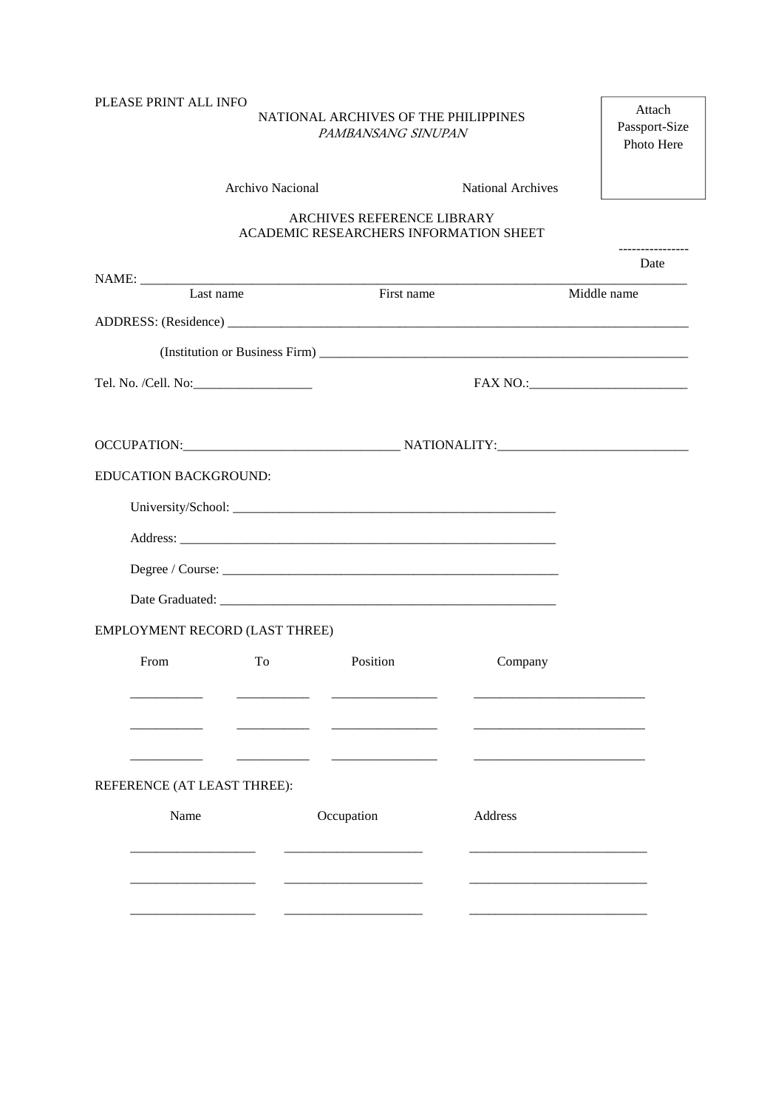## PLEASE PRINT ALL INFO NATIONAL ARCHIVES OF THE PHILIPPINES *PAMBANSANG SINUPAN* Archivo Nacional National Archives

## ARCHIVES REFERENCE LIBRARY ACADEMIC RESEARCHERS INFORMATION SHEET

---------------- Date

Attach Passport-Size Photo Here

| Last name                                                                                                                                                                                                                            |                                | First name                                                                                                            |         | Middle name |
|--------------------------------------------------------------------------------------------------------------------------------------------------------------------------------------------------------------------------------------|--------------------------------|-----------------------------------------------------------------------------------------------------------------------|---------|-------------|
|                                                                                                                                                                                                                                      |                                |                                                                                                                       |         |             |
|                                                                                                                                                                                                                                      |                                |                                                                                                                       |         |             |
|                                                                                                                                                                                                                                      |                                |                                                                                                                       |         |             |
|                                                                                                                                                                                                                                      |                                |                                                                                                                       |         |             |
|                                                                                                                                                                                                                                      |                                |                                                                                                                       |         |             |
| EDUCATION BACKGROUND:                                                                                                                                                                                                                |                                |                                                                                                                       |         |             |
|                                                                                                                                                                                                                                      |                                |                                                                                                                       |         |             |
|                                                                                                                                                                                                                                      |                                |                                                                                                                       |         |             |
|                                                                                                                                                                                                                                      |                                |                                                                                                                       |         |             |
|                                                                                                                                                                                                                                      |                                |                                                                                                                       |         |             |
| EMPLOYMENT RECORD (LAST THREE)                                                                                                                                                                                                       |                                |                                                                                                                       |         |             |
| From                                                                                                                                                                                                                                 | To                             | Position                                                                                                              | Company |             |
|                                                                                                                                                                                                                                      |                                | <u> Alexandro Alexandro de Alexandro Alexandro de Alexandro de Alexandro de Alexandro de Alexandro de Alexandro d</u> |         |             |
|                                                                                                                                                                                                                                      |                                |                                                                                                                       |         |             |
| $\sim$ $\sim$ $\sim$                                                                                                                                                                                                                 | <u> Alexandria de la conte</u> |                                                                                                                       |         |             |
| REFERENCE (AT LEAST THREE):                                                                                                                                                                                                          |                                |                                                                                                                       |         |             |
| Name                                                                                                                                                                                                                                 |                                | Occupation                                                                                                            | Address |             |
| <u> 1980 - Jan Barat, prima prima prima prima prima prima prima prima prima prima prima prima prima prima prima p</u>                                                                                                                |                                |                                                                                                                       |         |             |
|                                                                                                                                                                                                                                      |                                |                                                                                                                       |         |             |
|                                                                                                                                                                                                                                      |                                |                                                                                                                       |         |             |
| <u> 1980 - Andrea Station Books and the Station Books and the Station Books and the Station Books and the Station Books and the Station Books and the Station Books and the Station Books and the Station Books and the Station </u> |                                |                                                                                                                       |         |             |